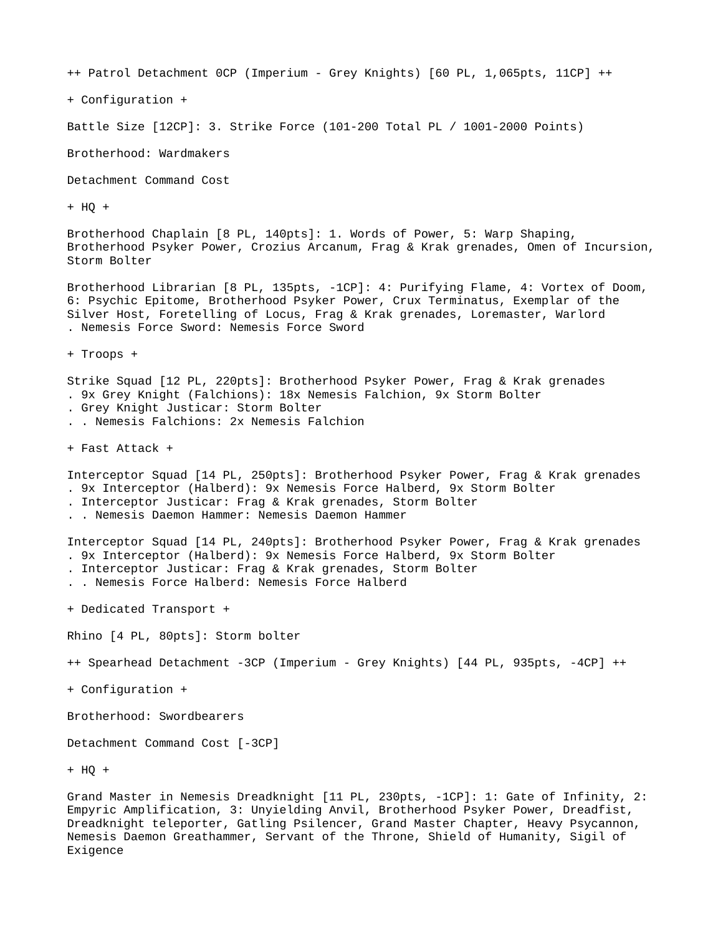++ Patrol Detachment 0CP (Imperium - Grey Knights) [60 PL, 1,065pts, 11CP] ++

+ Configuration +

Battle Size [12CP]: 3. Strike Force (101-200 Total PL / 1001-2000 Points)

Brotherhood: Wardmakers

Detachment Command Cost

+ HQ +

Brotherhood Chaplain [8 PL, 140pts]: 1. Words of Power, 5: Warp Shaping, Brotherhood Psyker Power, Crozius Arcanum, Frag & Krak grenades, Omen of Incursion, Storm Bolter

Brotherhood Librarian [8 PL, 135pts, -1CP]: 4: Purifying Flame, 4: Vortex of Doom, 6: Psychic Epitome, Brotherhood Psyker Power, Crux Terminatus, Exemplar of the Silver Host, Foretelling of Locus, Frag & Krak grenades, Loremaster, Warlord . Nemesis Force Sword: Nemesis Force Sword

+ Troops +

Strike Squad [12 PL, 220pts]: Brotherhood Psyker Power, Frag & Krak grenades

. 9x Grey Knight (Falchions): 18x Nemesis Falchion, 9x Storm Bolter

. Grey Knight Justicar: Storm Bolter

. . Nemesis Falchions: 2x Nemesis Falchion

+ Fast Attack +

Interceptor Squad [14 PL, 250pts]: Brotherhood Psyker Power, Frag & Krak grenades

. 9x Interceptor (Halberd): 9x Nemesis Force Halberd, 9x Storm Bolter

. Interceptor Justicar: Frag & Krak grenades, Storm Bolter

. . Nemesis Daemon Hammer: Nemesis Daemon Hammer

Interceptor Squad [14 PL, 240pts]: Brotherhood Psyker Power, Frag & Krak grenades . 9x Interceptor (Halberd): 9x Nemesis Force Halberd, 9x Storm Bolter

. Interceptor Justicar: Frag & Krak grenades, Storm Bolter

. . Nemesis Force Halberd: Nemesis Force Halberd

+ Dedicated Transport +

Rhino [4 PL, 80pts]: Storm bolter

++ Spearhead Detachment -3CP (Imperium - Grey Knights) [44 PL, 935pts, -4CP] ++

+ Configuration +

Brotherhood: Swordbearers

Detachment Command Cost [-3CP]

+ HQ +

Grand Master in Nemesis Dreadknight [11 PL, 230pts, -1CP]: 1: Gate of Infinity, 2: Empyric Amplification, 3: Unyielding Anvil, Brotherhood Psyker Power, Dreadfist, Dreadknight teleporter, Gatling Psilencer, Grand Master Chapter, Heavy Psycannon, Nemesis Daemon Greathammer, Servant of the Throne, Shield of Humanity, Sigil of Exigence